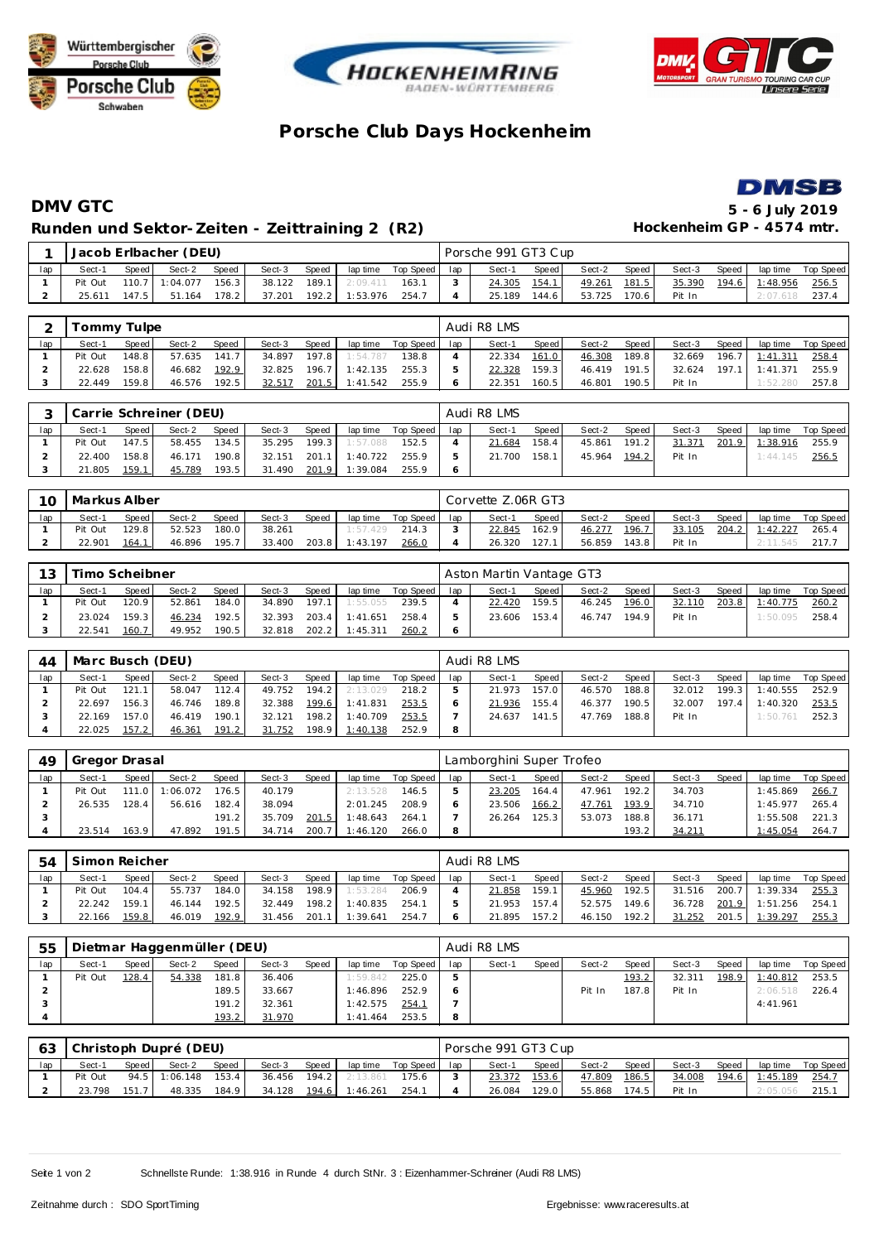





## **Porsche Club Days Hockenhe im**



## **DMV GTC 5 - 6 July 2019** Runden und Sektor-Zeiten - Zeittraining 2 (R2) **Hockenheim GP** - 4574 mtr.

|     |         |       | Jacob Erlbacher (DEU) |         |        |       |          |                   |     | Porsche 991 GT3 Cup |       |        |        |        |       |          |                    |
|-----|---------|-------|-----------------------|---------|--------|-------|----------|-------------------|-----|---------------------|-------|--------|--------|--------|-------|----------|--------------------|
| lap | Sect-1  | Speed | Sect-2                | Speed   | Sect-3 | Speed |          | laptime Top Speed | lap | Sect-1              | Speed | Sect-2 | Speed  | Sect-3 | Speed |          | lap time Top Speed |
|     | Pit Out |       | $110.7$ 1:04.077      | 156.3   | 38.122 | 189.1 | 2:09.411 | 163.1             |     | 24.305              | 154.1 | 49.261 | 181.5  | 35.390 | 194.6 | 1:48.956 | 256.5              |
|     | 25.611  | 147.5 | 51.164                | $178.2$ | 37.201 | 192.2 | 1:53.976 | 254.7             |     | 25.189              | 144.6 | 53.725 | 170.61 | Pit In |       |          | 237.4              |

|     |         | Fommy Tulpe |        |       |        |       |          |           |     | Audi R8 LMS |       |        |       |        |       |          |           |
|-----|---------|-------------|--------|-------|--------|-------|----------|-----------|-----|-------------|-------|--------|-------|--------|-------|----------|-----------|
| lap | Sect-1  | Speed       | Sect-2 | Speed | Sect-3 | Speed | lap time | Top Speed | lap | Sect-1      | Speed | Sect-2 | Speed | Sect-3 | Speed | lap time | Top Speed |
|     | Pit Out | 148.8       | 57.635 | 141.7 | 34.897 | 197.8 | 1:54.787 | 138.8     |     | 22.334      | 161.0 | 46.308 | 189.8 | 32.669 | 196.7 | 1:41.311 | 258.4     |
|     | 22.628  | 158.8       | 46.682 | 192.9 | 32.825 | 196.7 | 1:42.135 | 255.3     |     | 22.328      | 159.3 | 46.419 | 191.5 | 32.624 | 197.1 | 1:41.371 | 255.9     |
|     | 22.449  | 159.8       | 46.576 | 192.5 | 32.517 | 201.5 | 1:41.542 | 255.9     |     | 22.351      | 160.5 | 46.801 | 190.5 | Pit In |       | 1:52.280 | 257.8     |

|     |         |       | Carrie Schreiner (DEU) |       |        |       |                |           |     | Audi R8 LMS |       |              |       |        |       |          |           |
|-----|---------|-------|------------------------|-------|--------|-------|----------------|-----------|-----|-------------|-------|--------------|-------|--------|-------|----------|-----------|
| lap | Sect-1  | Speed | Sect-2                 | Speed | Sect-3 | Speed | lap time       | Top Speed | lap | Sect-1      | Speed | Sect-2       | Speed | Sect-3 | Speed | lap time | Top Speed |
|     | Pit Out | 147.5 | 58.455                 | 134.5 | 35.295 | 199.3 | 1:57.088       | 152.5     |     | 21.684      | 158.4 | 45.861       | 191.2 | 31.371 | 201.9 | 1:38.916 | 255.9     |
|     | 22.400  | 158.8 | 46.171                 | 190.8 | 32.151 |       | 201.1 1:40.722 | 255.9     |     | 21.700      | 158.1 | 45.964 194.2 |       | Pit In |       | 1:44.145 | 256.5     |
|     | 21.805  | 159.1 | 45.789                 | 193.5 | 31.490 |       | 201.9 1:39.084 | 255.9     |     |             |       |              |       |        |       |          |           |

| 10  | Markus Alber |       |        |              |        |              |          |           |     | Corvette Z.06R GT3 |         |        |               |        |       |          |           |
|-----|--------------|-------|--------|--------------|--------|--------------|----------|-----------|-----|--------------------|---------|--------|---------------|--------|-------|----------|-----------|
| lap | Sect-1       | Speed | Sect-2 | <b>Speed</b> | Sect-3 | <b>Speed</b> | lap time | Top Speed | lap | Sect-1             | Speed I | Sect-2 | Speed         | Sect-3 | Speed | lap time | Top Speed |
|     | Pit Out      | 129.8 | 52.523 | 180.0        | 38.261 |              | 1:57.429 | 214.3     |     | 22.845             | 162.91  | 46.277 | <u> 196.7</u> | 33.105 | 204.2 | 1:42.227 | 265.4     |
|     | 22.901       | 164.1 | 46.896 | 195.7        | 33.400 | 203.8        | 1:43.197 | 266.0     |     | 26.320             | 127.1   | 56.859 | 43.8          | Pit In |       | 2:11.545 | 217.7     |

| 13  | Timo Scheibner |        |        |       |        |         |          |           |     | Aston Martin Vantage GT3 |        |        |       |        |       |          |           |
|-----|----------------|--------|--------|-------|--------|---------|----------|-----------|-----|--------------------------|--------|--------|-------|--------|-------|----------|-----------|
| lap | Sect-1         | Speed  | Sect-2 | Speed | Sect-3 | Speed   | lap time | Top Speed | lap | Sect-1                   | Speed  | Sect-2 | Speed | Sect-3 | Speed | lap time | Top Speed |
|     | Pit Out        | 120.9  | 52.861 | 184.0 | 34.890 | 197.1   | 1:55.055 | 239.5     |     | 22.420                   | 159.51 | 46.245 | 196.0 | 32.110 | 203.8 | 1:40.775 | 260.2     |
|     | 23.024         | 159.31 | 46.234 | 192.5 | 32.393 | $203.4$ | 1:41.651 | 258.4     |     | 23.606                   | 153.4  | 46.747 | 194.9 | Pit In |       | 1:50.095 | 258.4     |
|     | 22.541         | 160.7  | 49.952 | 190.5 | 32.818 | 202.2   | 1:45.311 | 260.2     |     |                          |        |        |       |        |       |          |           |

| 44  | Marc Busch (DEU) |         |        |              |        |       |                |           |     | Audi R8 LMS |       |        |       |        |       |          |           |
|-----|------------------|---------|--------|--------------|--------|-------|----------------|-----------|-----|-------------|-------|--------|-------|--------|-------|----------|-----------|
| lap | Sect-1           | Speed I | Sect-2 | <b>Speed</b> | Sect-3 | Speed | lap time       | Top Speed | lap | Sect-1      | Speed | Sect-2 | Speed | Sect-3 | Speed | lap time | Top Speed |
|     | Pit Out          | 121.1   | 58.047 | 112.4        | 49.752 | 194.2 | 2:13.029       | 218.2     |     | 21.973      | 157.0 | 46.570 | 188.8 | 32.012 | 199.3 | 1:40.555 | 252.9     |
|     | 22.697           | 156.3   | 46.746 | 189.8        | 32.388 |       | 199.6 1:41.831 | 253.5     |     | 21.936      | 155.4 | 46.377 | 190.5 | 32.007 | 197.4 | 1:40.320 | 253.5     |
|     | 22.169           | 157.0   | 46.419 | 190.1        | 32.121 | 198.2 | 1:40.709       | 253.5     |     | 24.637      | 141.5 | 47.769 | 188.8 | Pit In |       | 1:50.761 | 252.3     |
|     | 22.025           | 157.2   | 46.361 | 191.2        | 31.752 | 198.9 | 1:40.138       | 252.9     | 8   |             |       |        |       |        |       |          |           |

| 49  | Gregor Drasal |         |          |              |        |       |          |           |     | Lamborghini Super Trofeo |       |        |         |        |       |          |           |
|-----|---------------|---------|----------|--------------|--------|-------|----------|-----------|-----|--------------------------|-------|--------|---------|--------|-------|----------|-----------|
| lap | Sect-1        | Speed I | Sect-2   | <b>Speed</b> | Sect-3 | Speed | lap time | Top Speed | lap | Sect-1                   | Speed | Sect-2 | Speed   | Sect-3 | Speed | lap time | Top Speed |
|     | Pit Out       | 111.0   | 1:06.072 | 176.5        | 40.179 |       | 2:13.528 | 146.5     |     | 23.205                   | 164.4 | 47.961 | $192.2$ | 34.703 |       | 1:45.869 | 266.7     |
|     | 26.535        | 128.4   | 56.616   | 182.4        | 38.094 |       | 2:01.245 | 208.9     |     | 23.506                   | 166.2 | 47.761 | 193.9   | 34.710 |       | 1:45.977 | 265.4     |
|     |               |         |          | 191.2        | 35.709 | 201.5 | 1:48.643 | 264.1     |     | 26.264                   | 125.3 | 53.073 | 188.8   | 36.171 |       | 1:55.508 | 221.3     |
|     | 23.514        | 163.9   | 47.892   | 191.5        | 34.714 | 200.7 | 1:46.120 | 266.0     |     |                          |       |        | 193.2   | 34.211 |       | 1:45.054 | 264.7     |

| .54 | Simon Reicher |              |        |              |        |        |          |           |     | Audi R8 LMS |       |        |       |        |       |          |           |
|-----|---------------|--------------|--------|--------------|--------|--------|----------|-----------|-----|-------------|-------|--------|-------|--------|-------|----------|-----------|
| lap | Sect-1        | <b>Speed</b> | Sect-2 | <b>Speed</b> | Sect-3 | Speed  | lap time | Top Speed | lap | Sect-1      | Speed | Sect-2 | Speed | Sect-3 | Speed | lap time | Top Speed |
|     | Pit Out       | 104.4        | 55.737 | 184.0        | 34.158 | 198.9  | 1:53.284 | 206.9     |     | 21.858      | 159.1 | 45.960 | 192.5 | 31.516 | 200.7 | 1:39.334 | 255.3     |
|     | 22.242        | 159.1        | 46.144 | 192.5        | 32.449 | 198.21 | 1:40.835 | 254.      |     | 21.953      | 157.4 | 52.575 | 149.6 | 36.728 | 201.9 | 1:51.256 | 254.1     |
|     | 22.166        | 159.8        | 46.019 | 192.9        | 31.456 | 201.1  | 1:39.641 | 254.      |     | 21.895      | 157.2 | 46.150 | 192.2 | 31.252 | 201.5 | 1:39.297 | 255.3     |

| 55  |         |         | Dietmar Haggenmüller (DEU) |              |        |       |           |           |     | Audi R8 LMS |       |        |       |        |       |          |           |
|-----|---------|---------|----------------------------|--------------|--------|-------|-----------|-----------|-----|-------------|-------|--------|-------|--------|-------|----------|-----------|
| lap | Sect-1  | Speed I | Sect-2                     | Speed        | Sect-3 | Speed | lap time  | Top Speed | lap | Sect-1      | Speed | Sect-2 | Speed | Sect-3 | Speed | lap time | Top Speed |
|     | Pit Out | 128.4   | 54.338                     | 181.8        | 36.406 |       | 1:59.842  | 225.0     | 5   |             |       |        | 193.2 | 32.311 | 198.9 | 1:40.812 | 253.5     |
|     |         |         |                            | 189.5        | 33.667 |       | 1:46.896  | 252.9     |     |             |       | Pit In | 187.8 | Pit In |       | 2:06.518 | 226.4     |
|     |         |         |                            | 191.2        | 32.361 |       | 1:42.575  | 254.1     |     |             |       |        |       |        |       | 4:41.961 |           |
|     |         |         |                            | <u>193.2</u> | 31.970 |       | 1: 41.464 | 253.5     | 8   |             |       |        |       |        |       |          |           |

|     |         |       | Christoph Dupré (DEU) |       |        |       |          |           |     | Porsche 991 GT3 Cup |        |        |        |        |       |           |           |
|-----|---------|-------|-----------------------|-------|--------|-------|----------|-----------|-----|---------------------|--------|--------|--------|--------|-------|-----------|-----------|
| lap | Sect-1  | Speed | Sect-2                | Speed | Sect-3 | Speed | lap time | Top Speed | lap | Sect-1              | Speed  | Sect-2 | Speed  | Sect-3 | Speed | lap time  | Top Speed |
|     | Pit Out | 94.5  | 1:06.148              | 153.4 | 36.456 | 194.2 | 2:13.861 | 175.6     |     | 23.372              | 153.6  | 47.809 | 186.5  | 34.008 | 194.6 | 1:45.189  | 254.      |
|     | 23.798  | 151.  | 48.335                | 184.9 | 34.128 | 194.6 | 1:46.261 | 254.      |     | 26.084              | 129.01 | 55.868 | 174.51 | Pit In |       | 2: 05.056 | 215.      |